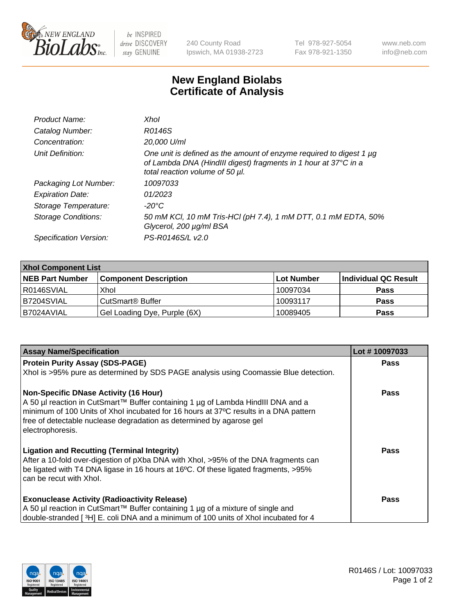

 $be$  INSPIRED drive DISCOVERY stay GENUINE

240 County Road Ipswich, MA 01938-2723 Tel 978-927-5054 Fax 978-921-1350 www.neb.com info@neb.com

## **New England Biolabs Certificate of Analysis**

| Product Name:              | Xhol                                                                                                                                                                      |
|----------------------------|---------------------------------------------------------------------------------------------------------------------------------------------------------------------------|
| Catalog Number:            | R0146S                                                                                                                                                                    |
| Concentration:             | 20,000 U/ml                                                                                                                                                               |
| Unit Definition:           | One unit is defined as the amount of enzyme required to digest 1 µg<br>of Lambda DNA (HindIII digest) fragments in 1 hour at 37°C in a<br>total reaction volume of 50 µl. |
| Packaging Lot Number:      | 10097033                                                                                                                                                                  |
| <b>Expiration Date:</b>    | 01/2023                                                                                                                                                                   |
| Storage Temperature:       | -20°C                                                                                                                                                                     |
| <b>Storage Conditions:</b> | 50 mM KCl, 10 mM Tris-HCl (pH 7.4), 1 mM DTT, 0.1 mM EDTA, 50%<br>Glycerol, 200 µg/ml BSA                                                                                 |
| Specification Version:     | PS-R0146S/L v2.0                                                                                                                                                          |

| <b>Xhol Component List</b> |                              |              |                      |  |  |
|----------------------------|------------------------------|--------------|----------------------|--|--|
| <b>NEB Part Number</b>     | <b>Component Description</b> | l Lot Number | Individual QC Result |  |  |
| I R0146SVIAL               | Xhol                         | 10097034     | <b>Pass</b>          |  |  |
| IB7204SVIAL                | l CutSmart® Buffer           | 10093117     | <b>Pass</b>          |  |  |
| B7024AVIAL                 | Gel Loading Dye, Purple (6X) | 10089405     | <b>Pass</b>          |  |  |

| <b>Assay Name/Specification</b>                                                                                                                                                                                                                                                                                      | Lot #10097033 |
|----------------------------------------------------------------------------------------------------------------------------------------------------------------------------------------------------------------------------------------------------------------------------------------------------------------------|---------------|
| <b>Protein Purity Assay (SDS-PAGE)</b>                                                                                                                                                                                                                                                                               | <b>Pass</b>   |
| Xhol is >95% pure as determined by SDS PAGE analysis using Coomassie Blue detection.                                                                                                                                                                                                                                 |               |
| <b>Non-Specific DNase Activity (16 Hour)</b><br>A 50 µl reaction in CutSmart™ Buffer containing 1 µg of Lambda HindIII DNA and a<br>minimum of 100 Units of Xhol incubated for 16 hours at 37°C results in a DNA pattern<br>free of detectable nuclease degradation as determined by agarose gel<br>electrophoresis. | Pass          |
| <b>Ligation and Recutting (Terminal Integrity)</b><br>After a 10-fold over-digestion of pXba DNA with Xhol, >95% of the DNA fragments can<br>be ligated with T4 DNA ligase in 16 hours at 16°C. Of these ligated fragments, >95%<br>can be recut with Xhol.                                                          | Pass          |
| <b>Exonuclease Activity (Radioactivity Release)</b><br>A 50 µl reaction in CutSmart™ Buffer containing 1 µg of a mixture of single and<br>double-stranded [3H] E. coli DNA and a minimum of 100 units of Xhol incubated for 4                                                                                        | Pass          |